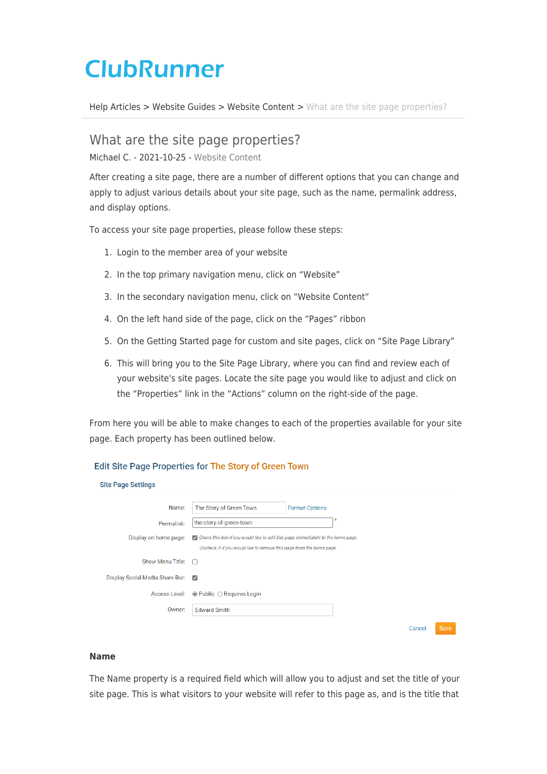# **ClubRunner**

[Help Articles](https://www.clubrunnersupport.com/kb) > [Website Guides](https://www.clubrunnersupport.com/kb/website-guides) > [Website Content](https://www.clubrunnersupport.com/kb/website-content) > [What are the site page properties?](https://www.clubrunnersupport.com/kb/articles/what-are-the-site-page-properties)

# What are the site page properties?

Michael C. - 2021-10-25 - [Website Content](https://www.clubrunnersupport.com/kb/website-content)

After creating a site page, there are a number of different options that you can change and apply to adjust various details about your site page, such as the name, permalink address, and display options.

To access your site page properties, please follow these steps:

- 1. Login to the member area of your website
- 2. In the top primary navigation menu, click on "Website"
- 3. In the secondary navigation menu, click on "Website Content"
- 4. On the left hand side of the page, click on the "Pages" ribbon
- 5. On the Getting Started page for custom and site pages, click on "Site Page Library"
- 6. This will bring you to the Site Page Library, where you can find and review each of your website's site pages. Locate the site page you would like to adjust and click on the "Properties" link in the "Actions" column on the right-side of the page.

From here you will be able to make changes to each of the properties available for your site page. Each property has been outlined below.

#### **Edit Site Page Properties for The Story of Green Town**

| <b>Site Page Settings</b>       |                                                                                                                                                         |        |             |
|---------------------------------|---------------------------------------------------------------------------------------------------------------------------------------------------------|--------|-------------|
| Name:                           | The Story of Green Town<br><b>Format Options</b>                                                                                                        |        |             |
| Permalink:                      | the-story-of-green-town                                                                                                                                 |        |             |
| Display on home page:           | Check this box if you would like to add this page immediately to the home page.<br>Uncheck it if you would like to remove this page from the home page. |        |             |
| <b>Show Menu Title:</b>         | n                                                                                                                                                       |        |             |
| Display Social Media Share Bar: | $\overline{\mathcal{L}}$                                                                                                                                |        |             |
| Access Level:                   | $\odot$ Public $\odot$ Requires Login                                                                                                                   |        |             |
| Owner:                          | <b>Edward Smith</b>                                                                                                                                     |        |             |
|                                 |                                                                                                                                                         | Cancel | <b>Save</b> |

#### **Name**

The Name property is a required field which will allow you to adjust and set the title of your site page. This is what visitors to your website will refer to this page as, and is the title that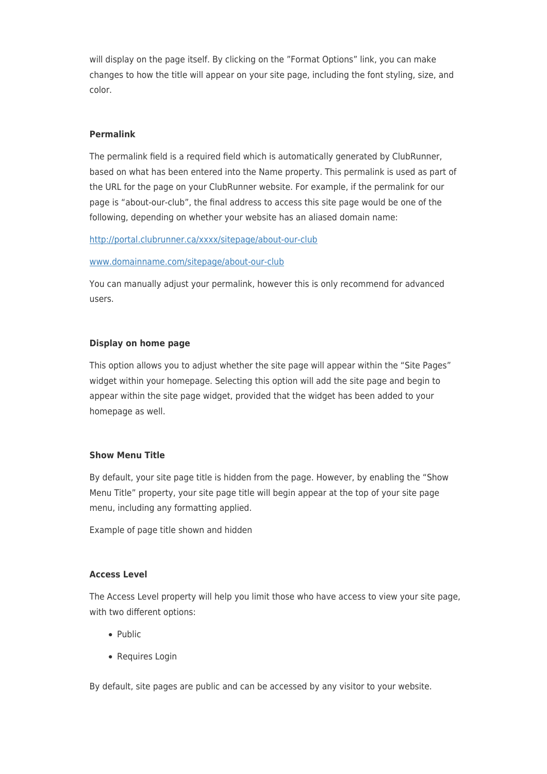will display on the page itself. By clicking on the "Format Options" link, you can make changes to how the title will appear on your site page, including the font styling, size, and color.

### **Permalink**

The permalink field is a required field which is automatically generated by ClubRunner, based on what has been entered into the Name property. This permalink is used as part of the URL for the page on your ClubRunner website. For example, if the permalink for our page is "about-our-club", the final address to access this site page would be one of the following, depending on whether your website has an aliased domain name:

#### [http://portal.clubrunner.ca/xxxx/sitepage/about-our-club](http://portal.clubrunner.ca/xxxx/page/about-our-club)

#### [www.domainname.com/sitepage/about-our-club](http://www.domainname.com/page/about-our-club)

You can manually adjust your permalink, however this is only recommend for advanced users.

#### **Display on home page**

This option allows you to adjust whether the site page will appear within the "Site Pages" widget within your homepage. Selecting this option will add the site page and begin to appear within the site page widget, provided that the widget has been added to your homepage as well.

#### **Show Menu Title**

By default, your site page title is hidden from the page. However, by enabling the "Show Menu Title" property, your site page title will begin appear at the top of your site page menu, including any formatting applied.

Example of page title shown and hidden

#### **Access Level**

The Access Level property will help you limit those who have access to view your site page, with two different options:

- Public
- Requires Login

By default, site pages are public and can be accessed by any visitor to your website.